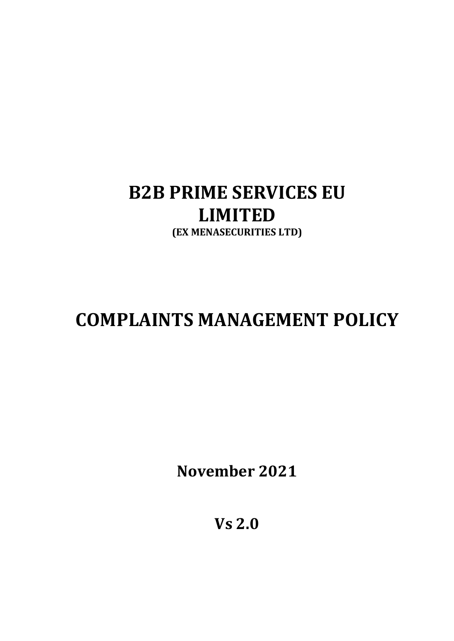# B2B PRIME SERVICES EU LIMITED (EX MENASECURITIES LTD)

# COMPLAINTS MANAGEMENT POLICY

November 2021

Vs 2.0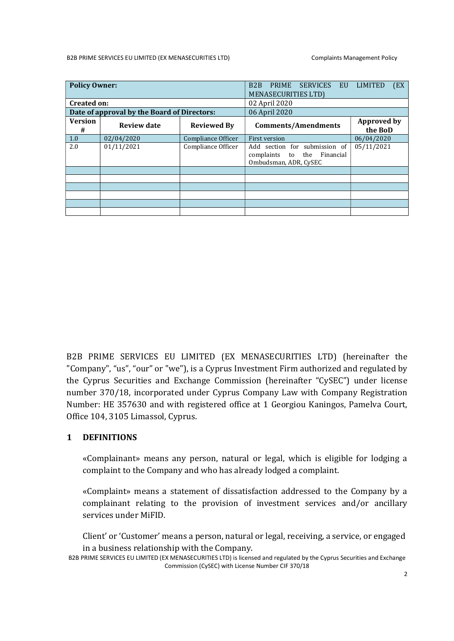#### B2B PRIME SERVICES EU LIMITED (EX MENASECURITIES LTD) Complaints Management Policy

| <b>Policy Owner:</b>                        |                    |                    | (EX<br>B <sub>2</sub> B<br><b>PRIME</b><br><b>SERVICES</b><br><b>LIMITED</b><br>EU<br><b>MENASECURITIES LTD)</b> |                               |  |  |  |
|---------------------------------------------|--------------------|--------------------|------------------------------------------------------------------------------------------------------------------|-------------------------------|--|--|--|
| <b>Created on:</b>                          |                    |                    | 02 April 2020                                                                                                    |                               |  |  |  |
| Date of approval by the Board of Directors: |                    |                    | 06 April 2020                                                                                                    |                               |  |  |  |
| <b>Version</b><br>#                         | <b>Review date</b> | <b>Reviewed By</b> | <b>Comments/Amendments</b>                                                                                       | <b>Approved by</b><br>the BoD |  |  |  |
| 1.0                                         | 02/04/2020         | Compliance Officer | <b>First version</b>                                                                                             | 06/04/2020                    |  |  |  |
| 2.0                                         | 01/11/2021         | Compliance Officer | Add section for submission of<br>the<br>complaints<br>Financial<br>to<br>Ombudsman, ADR, CySEC                   | 05/11/2021                    |  |  |  |
|                                             |                    |                    |                                                                                                                  |                               |  |  |  |
|                                             |                    |                    |                                                                                                                  |                               |  |  |  |
|                                             |                    |                    |                                                                                                                  |                               |  |  |  |
|                                             |                    |                    |                                                                                                                  |                               |  |  |  |
|                                             |                    |                    |                                                                                                                  |                               |  |  |  |
|                                             |                    |                    |                                                                                                                  |                               |  |  |  |

B2B PRIME SERVICES EU LIMITED (EX MENASECURITIES LTD) (hereinafter the "Company", "us", "our" or "we"), is a Cyprus Investment Firm authorized and regulated by the Cyprus Securities and Exchange Commission (hereinafter "CySEC") under license number 370/18, incorporated under Cyprus Company Law with Company Registration Number: ΗΕ 357630 and with registered office at 1 Georgiou Kaningos, Pamelva Court, Office 104, 3105 Limassol, Cyprus.

#### 1 DEFINITIONS

«Complainant» means any person, natural or legal, which is eligible for lodging a complaint to the Company and who has already lodged a complaint.

«Complaint» means a statement of dissatisfaction addressed to the Company by a complainant relating to the provision of investment services and/or ancillary services under MiFID.

Client' or 'Customer' means a person, natural or legal, receiving, a service, or engaged in a business relationship with the Company.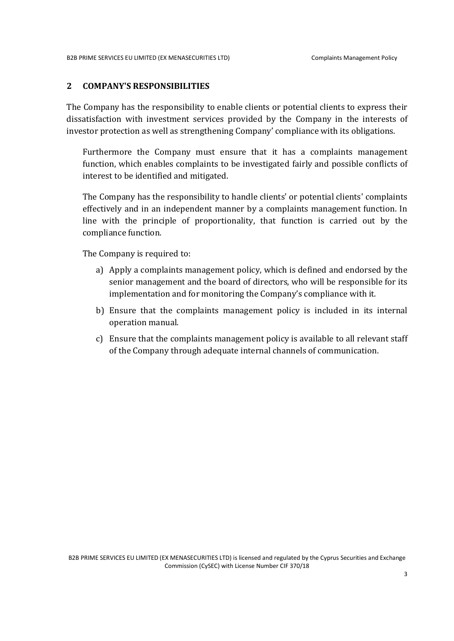#### 2 COMPANY'S RESPONSIBILITIES

The Company has the responsibility to enable clients or potential clients to express their dissatisfaction with investment services provided by the Company in the interests of investor protection as well as strengthening Company' compliance with its obligations.

Furthermore the Company must ensure that it has a complaints management function, which enables complaints to be investigated fairly and possible conflicts of interest to be identified and mitigated.

The Company has the responsibility to handle clients' or potential clients' complaints effectively and in an independent manner by a complaints management function. In line with the principle of proportionality, that function is carried out by the compliance function.

The Company is required to:

- a) Apply a complaints management policy, which is defined and endorsed by the senior management and the board of directors, who will be responsible for its implementation and for monitoring the Company's compliance with it.
- b) Ensure that the complaints management policy is included in its internal operation manual.
- c) Ensure that the complaints management policy is available to all relevant staff of the Company through adequate internal channels of communication.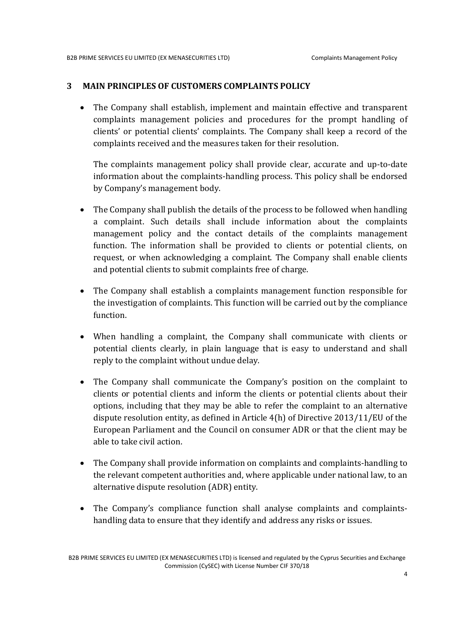#### 3 MAIN PRINCIPLES OF CUSTOMERS COMPLAINTS POLICY

 The Company shall establish, implement and maintain effective and transparent complaints management policies and procedures for the prompt handling of clients' or potential clients' complaints. The Company shall keep a record of the complaints received and the measures taken for their resolution.

The complaints management policy shall provide clear, accurate and up-to-date information about the complaints-handling process. This policy shall be endorsed by Company's management body.

- The Company shall publish the details of the process to be followed when handling a complaint. Such details shall include information about the complaints management policy and the contact details of the complaints management function. The information shall be provided to clients or potential clients, on request, or when acknowledging a complaint. The Company shall enable clients and potential clients to submit complaints free of charge.
- The Company shall establish a complaints management function responsible for the investigation of complaints. This function will be carried out by the compliance function.
- When handling a complaint, the Company shall communicate with clients or potential clients clearly, in plain language that is easy to understand and shall reply to the complaint without undue delay.
- The Company shall communicate the Company's position on the complaint to clients or potential clients and inform the clients or potential clients about their options, including that they may be able to refer the complaint to an alternative dispute resolution entity, as defined in Article 4(h) of Directive 2013/11/EU of the European Parliament and the Council on consumer ADR or that the client may be able to take civil action.
- The Company shall provide information on complaints and complaints-handling to the relevant competent authorities and, where applicable under national law, to an alternative dispute resolution (ADR) entity.
- The Company's compliance function shall analyse complaints and complaintshandling data to ensure that they identify and address any risks or issues.

B2B PRIME SERVICES EU LIMITED (EX MENASECURITIES LTD) is licensed and regulated by the Cyprus Securities and Exchange Commission (CySEC) with License Number CIF 370/18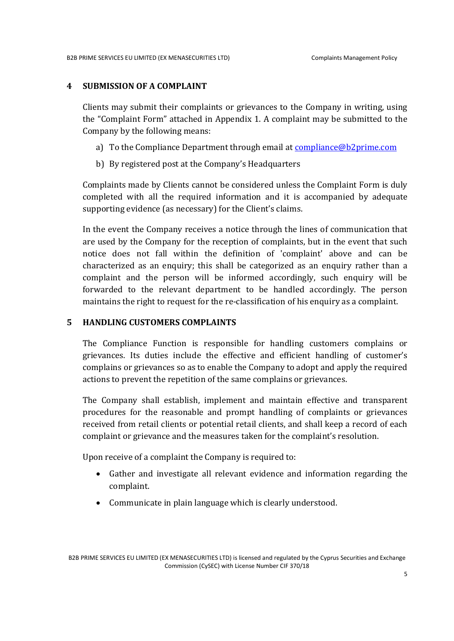#### 4 SUBMISSION OF A COMPLAINT

Clients may submit their complaints or grievances to the Company in writing, using the "Complaint Form" attached in Appendix 1. A complaint may be submitted to the Company by the following means:

- a) To the Compliance Department through email at compliance@b2prime.com
- b) By registered post at the Company's Headquarters

Complaints made by Clients cannot be considered unless the Complaint Form is duly completed with all the required information and it is accompanied by adequate supporting evidence (as necessary) for the Client's claims.

In the event the Company receives a notice through the lines of communication that are used by the Company for the reception of complaints, but in the event that such notice does not fall within the definition of 'complaint' above and can be characterized as an enquiry; this shall be categorized as an enquiry rather than a complaint and the person will be informed accordingly, such enquiry will be forwarded to the relevant department to be handled accordingly. The person maintains the right to request for the re-classification of his enquiry as a complaint.

#### 5 HANDLING CUSTOMERS COMPLAINTS

The Compliance Function is responsible for handling customers complains or grievances. Its duties include the effective and efficient handling of customer's complains or grievances so as to enable the Company to adopt and apply the required actions to prevent the repetition of the same complains or grievances.

The Company shall establish, implement and maintain effective and transparent procedures for the reasonable and prompt handling of complaints or grievances received from retail clients or potential retail clients, and shall keep a record of each complaint or grievance and the measures taken for the complaint's resolution.

Upon receive of a complaint the Company is required to:

- Gather and investigate all relevant evidence and information regarding the complaint.
- Communicate in plain language which is clearly understood.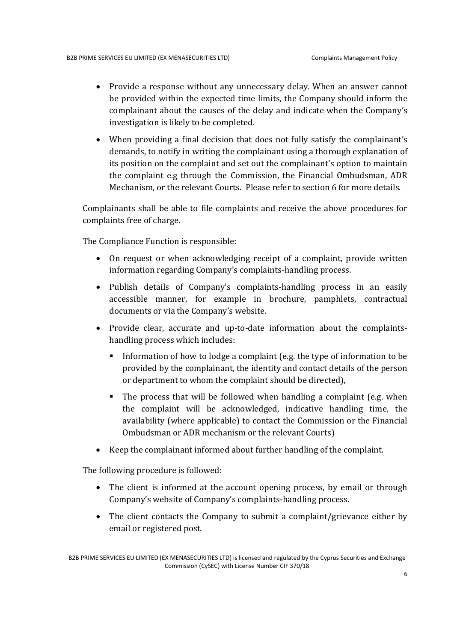- Provide a response without any unnecessary delay. When an answer cannot be provided within the expected time limits, the Company should inform the complainant about the causes of the delay and indicate when the Company's investigation is likely to be completed.
- When providing a final decision that does not fully satisfy the complainant's demands, to notify in writing the complainant using a thorough explanation of its position on the complaint and set out the complainant's option to maintain the complaint e.g through the Commission, the Financial Ombudsman, ADR Mechanism, or the relevant Courts. Please refer to section 6 for more details.

Complainants shall be able to file complaints and receive the above procedures for complaints free of charge.

The Compliance Function is responsible:

- On request or when acknowledging receipt of a complaint, provide written information regarding Company's complaints-handling process.
- Publish details of Company's complaints-handling process in an easily accessible manner, for example in brochure, pamphlets, contractual documents or via the Company's website.
- Provide clear, accurate and up-to-date information about the complaintshandling process which includes:
	- Information of how to lodge a complaint (e.g. the type of information to be provided by the complainant, the identity and contact details of the person or department to whom the complaint should be directed),
	- The process that will be followed when handling a complaint (e.g. when the complaint will be acknowledged, indicative handling time, the availability (where applicable) to contact the Commission or the Financial Ombudsman or ADR mechanism or the relevant Courts)
- Keep the complainant informed about further handling of the complaint.

The following procedure is followed:

- The client is informed at the account opening process, by email or through Company's website of Company's complaints-handling process.
- The client contacts the Company to submit a complaint/grievance either by email or registered post.

B2B PRIME SERVICES EU LIMITED (EX MENASECURITIES LTD) is licensed and regulated by the Cyprus Securities and Exchange Commission (CySEC) with License Number CIF 370/18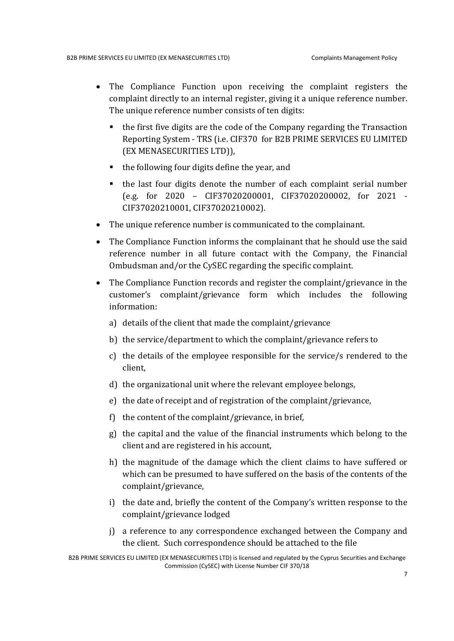- The Compliance Function upon receiving the complaint registers the complaint directly to an internal register, giving it a unique reference number. The unique reference number consists of ten digits:
	- the first five digits are the code of the Company regarding the Transaction Reporting System - TRS (i.e. CIF370 for B2B PRIME SERVICES EU LIMITED (EX MENASECURITIES LTD)),
	- the following four digits define the year, and
	- the last four digits denote the number of each complaint serial number (e.g. for 2020 – CIF37020200001, CIF37020200002, for 2021 - CIF37020210001, CIF37020210002).
- The unique reference number is communicated to the complainant.
- The Compliance Function informs the complainant that he should use the said reference number in all future contact with the Company, the Financial Ombudsman and/or the CySEC regarding the specific complaint.
- The Compliance Function records and register the complaint/grievance in the customer's complaint/grievance form which includes the following information:
	- a) details of the client that made the complaint/grievance
	- b) the service/department to which the complaint/grievance refers to
	- c) the details of the employee responsible for the service/s rendered to the client,
	- d) the organizational unit where the relevant employee belongs,
	- e) the date of receipt and of registration of the complaint/grievance,
	- f) the content of the complaint/grievance, in brief,
	- g) the capital and the value of the financial instruments which belong to the client and are registered in his account,
	- h) the magnitude of the damage which the client claims to have suffered or which can be presumed to have suffered on the basis of the contents of the complaint/grievance,
	- i) the date and, briefly the content of the Company's written response to the complaint/grievance lodged
	- j) a reference to any correspondence exchanged between the Company and the client. Such correspondence should be attached to the file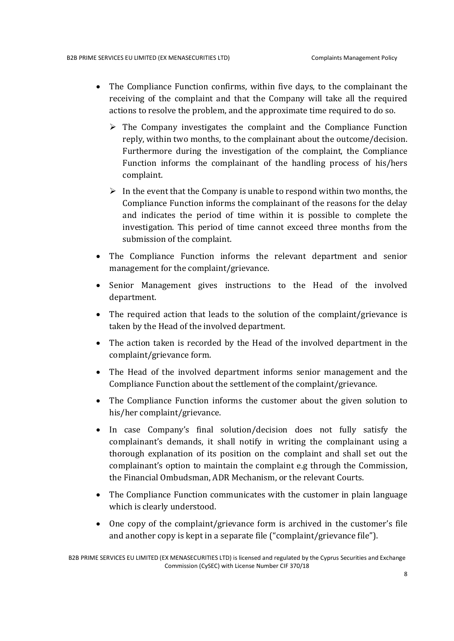- The Compliance Function confirms, within five days, to the complainant the receiving of the complaint and that the Company will take all the required actions to resolve the problem, and the approximate time required to do so.
	- $\triangleright$  The Company investigates the complaint and the Compliance Function reply, within two months, to the complainant about the outcome/decision. Furthermore during the investigation of the complaint, the Compliance Function informs the complainant of the handling process of his/hers complaint.
	- $\triangleright$  In the event that the Company is unable to respond within two months, the Compliance Function informs the complainant of the reasons for the delay and indicates the period of time within it is possible to complete the investigation. This period of time cannot exceed three months from the submission of the complaint.
- The Compliance Function informs the relevant department and senior management for the complaint/grievance.
- Senior Management gives instructions to the Head of the involved department.
- The required action that leads to the solution of the complaint/grievance is taken by the Head of the involved department.
- The action taken is recorded by the Head of the involved department in the complaint/grievance form.
- The Head of the involved department informs senior management and the Compliance Function about the settlement of the complaint/grievance.
- The Compliance Function informs the customer about the given solution to his/her complaint/grievance.
- In case Company's final solution/decision does not fully satisfy the complainant's demands, it shall notify in writing the complainant using a thorough explanation of its position on the complaint and shall set out the complainant's option to maintain the complaint e.g through the Commission, the Financial Ombudsman, ADR Mechanism, or the relevant Courts.
- The Compliance Function communicates with the customer in plain language which is clearly understood.
- One copy of the complaint/grievance form is archived in the customer's file and another copy is kept in a separate file ("complaint/grievance file").

B2B PRIME SERVICES EU LIMITED (EX MENASECURITIES LTD) is licensed and regulated by the Cyprus Securities and Exchange Commission (CySEC) with License Number CIF 370/18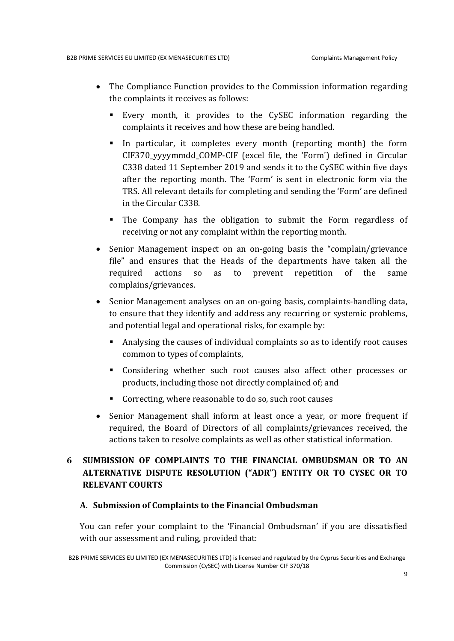- The Compliance Function provides to the Commission information regarding the complaints it receives as follows:
	- Every month, it provides to the CySEC information regarding the complaints it receives and how these are being handled.
	- In particular, it completes every month (reporting month) the form CIF370\_yyyymmdd\_COMP-CIF (excel file, the 'Form') defined in Circular C338 dated 11 September 2019 and sends it to the CySEC within five days after the reporting month. The 'Form' is sent in electronic form via the TRS. All relevant details for completing and sending the 'Form' are defined in the Circular C338.
	- The Company has the obligation to submit the Form regardless of receiving or not any complaint within the reporting month.
- Senior Management inspect on an on-going basis the "complain/grievance" file" and ensures that the Heads of the departments have taken all the required actions so as to prevent repetition of the same complains/grievances.
- Senior Management analyses on an on-going basis, complaints-handling data, to ensure that they identify and address any recurring or systemic problems, and potential legal and operational risks, for example by:
	- Analysing the causes of individual complaints so as to identify root causes common to types of complaints,
	- Considering whether such root causes also affect other processes or products, including those not directly complained of; and
	- Correcting, where reasonable to do so, such root causes
- Senior Management shall inform at least once a year, or more frequent if required, the Board of Directors of all complaints/grievances received, the actions taken to resolve complaints as well as other statistical information.

## 6 SUMBISSION OF COMPLAINTS TO THE FINANCIAL OMBUDSMAN OR TO AN ALTERNATIVE DISPUTE RESOLUTION ("ADR") ENTITY OR TO CYSEC OR TO RELEVANT COURTS

#### A. Submission of Complaints to the Financial Ombudsman

You can refer your complaint to the 'Financial Ombudsman' if you are dissatisfied with our assessment and ruling, provided that:

B2B PRIME SERVICES EU LIMITED (EX MENASECURITIES LTD) is licensed and regulated by the Cyprus Securities and Exchange Commission (CySEC) with License Number CIF 370/18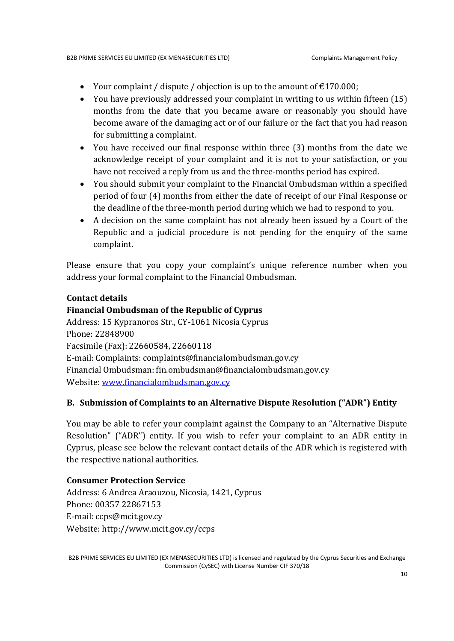- Your complaint / dispute / objection is up to the amount of  $\epsilon$ 170.000;
- You have previously addressed your complaint in writing to us within fifteen (15) months from the date that you became aware or reasonably you should have become aware of the damaging act or of our failure or the fact that you had reason for submitting a complaint.
- You have received our final response within three (3) months from the date we acknowledge receipt of your complaint and it is not to your satisfaction, or you have not received a reply from us and the three-months period has expired.
- You should submit your complaint to the Financial Ombudsman within a specified period of four (4) months from either the date of receipt of our Final Response or the deadline of the three-month period during which we had to respond to you.
- A decision on the same complaint has not already been issued by a Court of the Republic and a judicial procedure is not pending for the enquiry of the same complaint.

Please ensure that you copy your complaint's unique reference number when you address your formal complaint to the Financial Ombudsman.

#### Contact details

#### Financial Ombudsman of the Republic of Cyprus

Address: 15 Kypranoros Str., CY-1061 Nicosia Cyprus Phone: 22848900 Facsimile (Fax): 22660584, 22660118 E-mail: Complaints: complaints@financialombudsman.gov.cy Financial Ombudsman: fin.ombudsman@financialombudsman.gov.cy Website: www.financialombudsman.gov.cy

#### B. Submission of Complaints to an Alternative Dispute Resolution ("ADR") Entity

You may be able to refer your complaint against the Company to an "Alternative Dispute Resolution" ("ADR") entity. If you wish to refer your complaint to an ADR entity in Cyprus, please see below the relevant contact details of the ADR which is registered with the respective national authorities.

#### Consumer Protection Service

Address: 6 Andrea Araouzou, Nicosia, 1421, Cyprus Phone: 00357 22867153 E-mail: ccps@mcit.gov.cy Website: http://www.mcit.gov.cy/ccps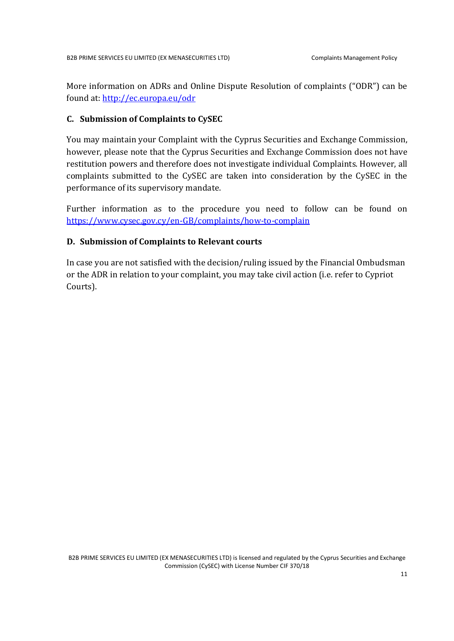More information on ADRs and Online Dispute Resolution of complaints ("ODR") can be found at: http://ec.europa.eu/odr

#### C. Submission of Complaints to CySEC

You may maintain your Complaint with the Cyprus Securities and Exchange Commission, however, please note that the Cyprus Securities and Exchange Commission does not have restitution powers and therefore does not investigate individual Complaints. However, all complaints submitted to the CySEC are taken into consideration by the CySEC in the performance of its supervisory mandate.

Further information as to the procedure you need to follow can be found on https://www.cysec.gov.cy/en-GB/complaints/how-to-complain

#### D. Submission of Complaints to Relevant courts

In case you are not satisfied with the decision/ruling issued by the Financial Ombudsman or the ADR in relation to your complaint, you may take civil action (i.e. refer to Cypriot Courts).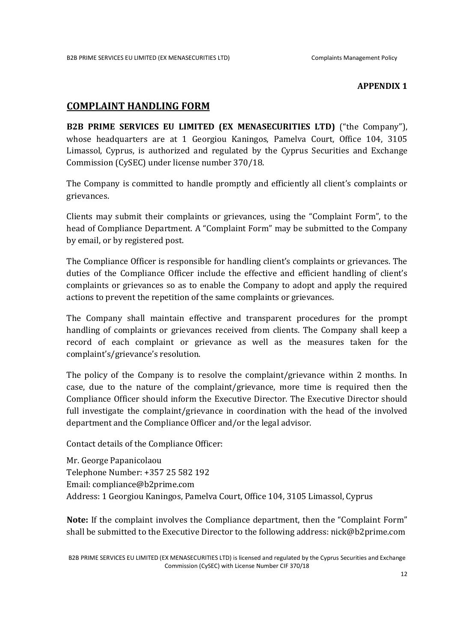#### APPENDIX 1

### COMPLAINT HANDLING FORM

B2B PRIME SERVICES EU LIMITED (EX MENASECURITIES LTD) ("the Company"), whose headquarters are at 1 Georgiou Kaningos, Pamelva Court, Office 104, 3105 Limassol, Cyprus, is authorized and regulated by the Cyprus Securities and Exchange Commission (CySEC) under license number 370/18.

The Company is committed to handle promptly and efficiently all client's complaints or grievances.

Clients may submit their complaints or grievances, using the "Complaint Form", to the head of Compliance Department. A "Complaint Form" may be submitted to the Company by email, or by registered post.

The Compliance Officer is responsible for handling client's complaints or grievances. The duties of the Compliance Officer include the effective and efficient handling of client's complaints or grievances so as to enable the Company to adopt and apply the required actions to prevent the repetition of the same complaints or grievances.

The Company shall maintain effective and transparent procedures for the prompt handling of complaints or grievances received from clients. The Company shall keep a record of each complaint or grievance as well as the measures taken for the complaint's/grievance's resolution.

The policy of the Company is to resolve the complaint/grievance within 2 months. In case, due to the nature of the complaint/grievance, more time is required then the Compliance Officer should inform the Executive Director. The Executive Director should full investigate the complaint/grievance in coordination with the head of the involved department and the Compliance Officer and/or the legal advisor.

Contact details of the Compliance Officer:

Mr. George Papanicolaou Telephone Number: +357 25 582 192 Email: compliance@b2prime.com Address: 1 Georgiou Kaningos, Pamelva Court, Office 104, 3105 Limassol, Cyprus

Note: If the complaint involves the Compliance department, then the "Complaint Form" shall be submitted to the Executive Director to the following address: nick@b2prime.com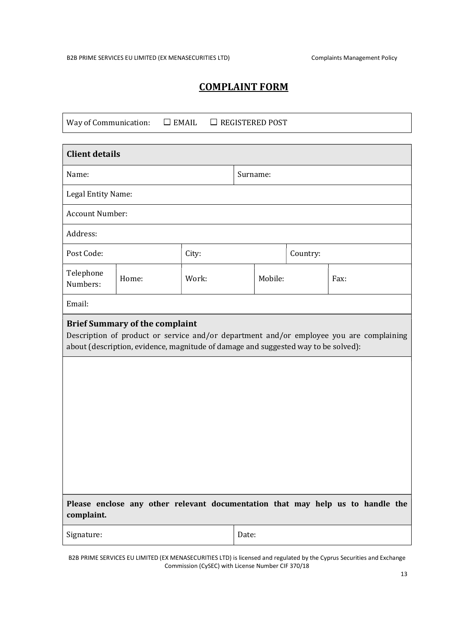# COMPLAINT FORM

| Way of Communication:<br>$\Box$ EMAIL<br>$\Box$ REGISTERED POST                                                                                                                                                        |                    |          |         |          |  |      |  |  |
|------------------------------------------------------------------------------------------------------------------------------------------------------------------------------------------------------------------------|--------------------|----------|---------|----------|--|------|--|--|
| <b>Client details</b>                                                                                                                                                                                                  |                    |          |         |          |  |      |  |  |
| Name:                                                                                                                                                                                                                  |                    | Surname: |         |          |  |      |  |  |
|                                                                                                                                                                                                                        | Legal Entity Name: |          |         |          |  |      |  |  |
| Account Number:                                                                                                                                                                                                        |                    |          |         |          |  |      |  |  |
| Address:                                                                                                                                                                                                               |                    |          |         |          |  |      |  |  |
| Post Code:                                                                                                                                                                                                             |                    | City:    |         | Country: |  |      |  |  |
| Telephone<br>Numbers:                                                                                                                                                                                                  | Home:              | Work:    | Mobile: |          |  | Fax: |  |  |
| Email:                                                                                                                                                                                                                 |                    |          |         |          |  |      |  |  |
| <b>Brief Summary of the complaint</b><br>Description of product or service and/or department and/or employee you are complaining<br>about (description, evidence, magnitude of damage and suggested way to be solved): |                    |          |         |          |  |      |  |  |
|                                                                                                                                                                                                                        |                    |          |         |          |  |      |  |  |
|                                                                                                                                                                                                                        |                    |          |         |          |  |      |  |  |
|                                                                                                                                                                                                                        |                    |          |         |          |  |      |  |  |
|                                                                                                                                                                                                                        |                    |          |         |          |  |      |  |  |
|                                                                                                                                                                                                                        |                    |          |         |          |  |      |  |  |
|                                                                                                                                                                                                                        |                    |          |         |          |  |      |  |  |
| Please enclose any other relevant documentation that may help us to handle the<br>complaint.                                                                                                                           |                    |          |         |          |  |      |  |  |
| Signature:                                                                                                                                                                                                             |                    |          | Date:   |          |  |      |  |  |